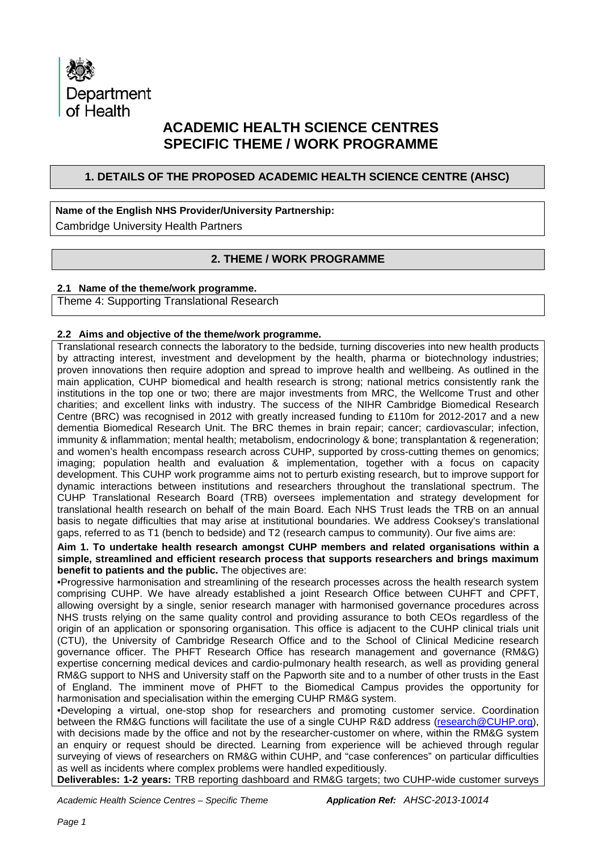

# **ACADEMIC HEALTH SCIENCE CENTRES SPECIFIC THEME / WORK PROGRAMME**

## **1. DETAILS OF THE PROPOSED ACADEMIC HEALTH SCIENCE CENTRE (AHSC)**

# **Name of the English NHS Provider/University Partnership:**

Cambridge University Health Partners

# **2. THEME / WORK PROGRAMME**

### **2.1 Name of the theme/work programme.**

Theme 4: Supporting Translational Research

### **2.2 Aims and objective of the theme/work programme.**

Translational research connects the laboratory to the bedside, turning discoveries into new health products by attracting interest, investment and development by the health, pharma or biotechnology industries; proven innovations then require adoption and spread to improve health and wellbeing. As outlined in the main application, CUHP biomedical and health research is strong; national metrics consistently rank the institutions in the top one or two; there are major investments from MRC, the Wellcome Trust and other charities; and excellent links with industry. The success of the NIHR Cambridge Biomedical Research Centre (BRC) was recognised in 2012 with greatly increased funding to £110m for 2012-2017 and a new dementia Biomedical Research Unit. The BRC themes in brain repair; cancer; cardiovascular; infection, immunity & inflammation; mental health; metabolism, endocrinology & bone; transplantation & regeneration; and women's health encompass research across CUHP, supported by cross-cutting themes on genomics; imaging; population health and evaluation & implementation, together with a focus on capacity development. This CUHP work programme aims not to perturb existing research, but to improve support for dynamic interactions between institutions and researchers throughout the translational spectrum. The CUHP Translational Research Board (TRB) oversees implementation and strategy development for translational health research on behalf of the main Board. Each NHS Trust leads the TRB on an annual basis to negate difficulties that may arise at institutional boundaries. We address Cooksey's translational gaps, referred to as T1 (bench to bedside) and T2 (research campus to community). Our five aims are:

**Aim 1. To undertake health research amongst CUHP members and related organisations within a simple, streamlined and efficient research process that supports researchers and brings maximum benefit to patients and the public.** The objectives are:

•Progressive harmonisation and streamlining of the research processes across the health research system comprising CUHP. We have already established a joint Research Office between CUHFT and CPFT, allowing oversight by a single, senior research manager with harmonised governance procedures across NHS trusts relying on the same quality control and providing assurance to both CEOs regardless of the origin of an application or sponsoring organisation. This office is adjacent to the CUHP clinical trials unit (CTU), the University of Cambridge Research Office and to the School of Clinical Medicine research governance officer. The PHFT Research Office has research management and governance (RM&G) expertise concerning medical devices and cardio-pulmonary health research, as well as providing general RM&G support to NHS and University staff on the Papworth site and to a number of other trusts in the East of England. The imminent move of PHFT to the Biomedical Campus provides the opportunity for harmonisation and specialisation within the emerging CUHP RM&G system.

•Developing a virtual, one-stop shop for researchers and promoting customer service. Coordination between the RM&G functions will facilitate the use of a single CUHP R&D address [\(research@CUHP.org\)](mailto:research@CUHP.org), with decisions made by the office and not by the researcher-customer on where, within the RM&G system an enquiry or request should be directed. Learning from experience will be achieved through regular surveying of views of researchers on RM&G within CUHP, and "case conferences" on particular difficulties as well as incidents where complex problems were handled expeditiously.

**Deliverables: 1-2 years:** TRB reporting dashboard and RM&G targets; two CUHP-wide customer surveys

*Academic Health Science Centres – Specific Theme Application Ref: AHSC-2013-10014*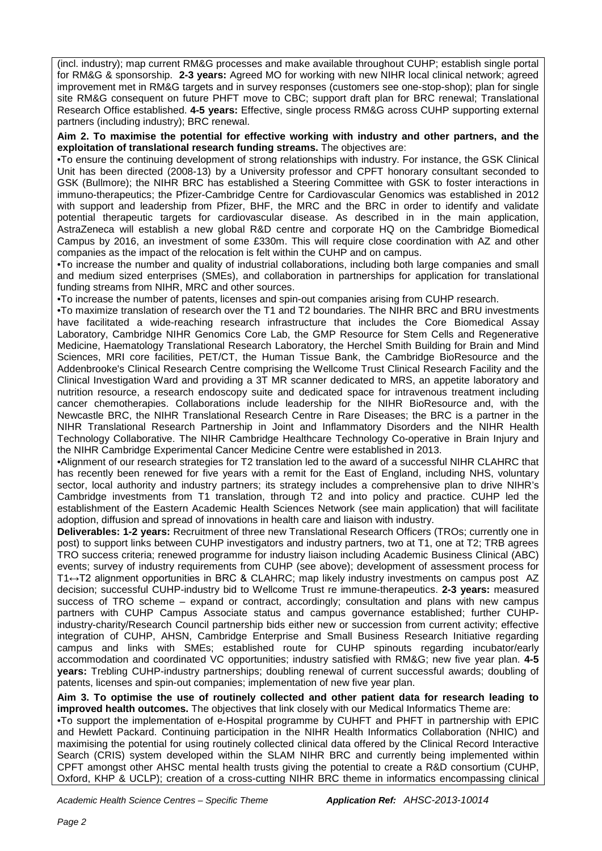(incl. industry); map current RM&G processes and make available throughout CUHP; establish single portal for RM&G & sponsorship. **2-3 years:** Agreed MO for working with new NIHR local clinical network; agreed improvement met in RM&G targets and in survey responses (customers see one-stop-shop); plan for single site RM&G consequent on future PHFT move to CBC; support draft plan for BRC renewal; Translational Research Office established. **4-5 years:** Effective, single process RM&G across CUHP supporting external partners (including industry); BRC renewal.

**Aim 2. To maximise the potential for effective working with industry and other partners, and the exploitation of translational research funding streams.** The objectives are:

•To ensure the continuing development of strong relationships with industry. For instance, the GSK Clinical Unit has been directed (2008-13) by a University professor and CPFT honorary consultant seconded to GSK (Bullmore); the NIHR BRC has established a Steering Committee with GSK to foster interactions in immuno-therapeutics; the Pfizer-Cambridge Centre for Cardiovascular Genomics was established in 2012 with support and leadership from Pfizer, BHF, the MRC and the BRC in order to identify and validate potential therapeutic targets for cardiovascular disease. As described in in the main application, AstraZeneca will establish a new global R&D centre and corporate HQ on the Cambridge Biomedical Campus by 2016, an investment of some £330m. This will require close coordination with AZ and other companies as the impact of the relocation is felt within the CUHP and on campus.

•To increase the number and quality of industrial collaborations, including both large companies and small and medium sized enterprises (SMEs), and collaboration in partnerships for application for translational funding streams from NIHR, MRC and other sources.

•To increase the number of patents, licenses and spin-out companies arising from CUHP research.

•To maximize translation of research over the T1 and T2 boundaries. The NIHR BRC and BRU investments have facilitated a wide-reaching research infrastructure that includes the Core Biomedical Assay Laboratory, Cambridge NIHR Genomics Core Lab, the GMP Resource for Stem Cells and Regenerative Medicine, Haematology Translational Research Laboratory, the Herchel Smith Building for Brain and Mind Sciences, MRI core facilities, PET/CT, the Human Tissue Bank, the Cambridge BioResource and the Addenbrooke's Clinical Research Centre comprising the Wellcome Trust Clinical Research Facility and the Clinical Investigation Ward and providing a 3T MR scanner dedicated to MRS, an appetite laboratory and nutrition resource, a research endoscopy suite and dedicated space for intravenous treatment including cancer chemotherapies. Collaborations include leadership for the NIHR BioResource and, with the Newcastle BRC, the NIHR Translational Research Centre in Rare Diseases; the BRC is a partner in the NIHR Translational Research Partnership in Joint and Inflammatory Disorders and the NIHR Health Technology Collaborative. The NIHR Cambridge Healthcare Technology Co-operative in Brain Injury and the NIHR Cambridge Experimental Cancer Medicine Centre were established in 2013.

•Alignment of our research strategies for T2 translation led to the award of a successful NIHR CLAHRC that has recently been renewed for five years with a remit for the East of England, including NHS, voluntary sector, local authority and industry partners; its strategy includes a comprehensive plan to drive NIHR's Cambridge investments from T1 translation, through T2 and into policy and practice. CUHP led the establishment of the Eastern Academic Health Sciences Network (see main application) that will facilitate adoption, diffusion and spread of innovations in health care and liaison with industry.

**Deliverables: 1-2 years:** Recruitment of three new Translational Research Officers (TROs; currently one in post) to support links between CUHP investigators and industry partners, two at T1, one at T2; TRB agrees TRO success criteria; renewed programme for industry liaison including Academic Business Clinical (ABC) events; survey of industry requirements from CUHP (see above); development of assessment process for T1↔T2 alignment opportunities in BRC & CLAHRC; map likely industry investments on campus post AZ decision; successful CUHP-industry bid to Wellcome Trust re immune-therapeutics. **2-3 years:** measured success of TRO scheme – expand or contract, accordingly; consultation and plans with new campus partners with CUHP Campus Associate status and campus governance established; further CUHPindustry-charity/Research Council partnership bids either new or succession from current activity; effective integration of CUHP, AHSN, Cambridge Enterprise and Small Business Research Initiative regarding campus and links with SMEs; established route for CUHP spinouts regarding incubator/early accommodation and coordinated VC opportunities; industry satisfied with RM&G; new five year plan. **4-5 years:** Trebling CUHP-industry partnerships; doubling renewal of current successful awards; doubling of patents, licenses and spin-out companies; implementation of new five year plan.

**Aim 3. To optimise the use of routinely collected and other patient data for research leading to improved health outcomes.** The objectives that link closely with our Medical Informatics Theme are:

•To support the implementation of e-Hospital programme by CUHFT and PHFT in partnership with EPIC and Hewlett Packard. Continuing participation in the NIHR Health Informatics Collaboration (NHIC) and maximising the potential for using routinely collected clinical data offered by the Clinical Record Interactive Search (CRIS) system developed within the SLAM NIHR BRC and currently being implemented within CPFT amongst other AHSC mental health trusts giving the potential to create a R&D consortium (CUHP, Oxford, KHP & UCLP); creation of a cross-cutting NIHR BRC theme in informatics encompassing clinical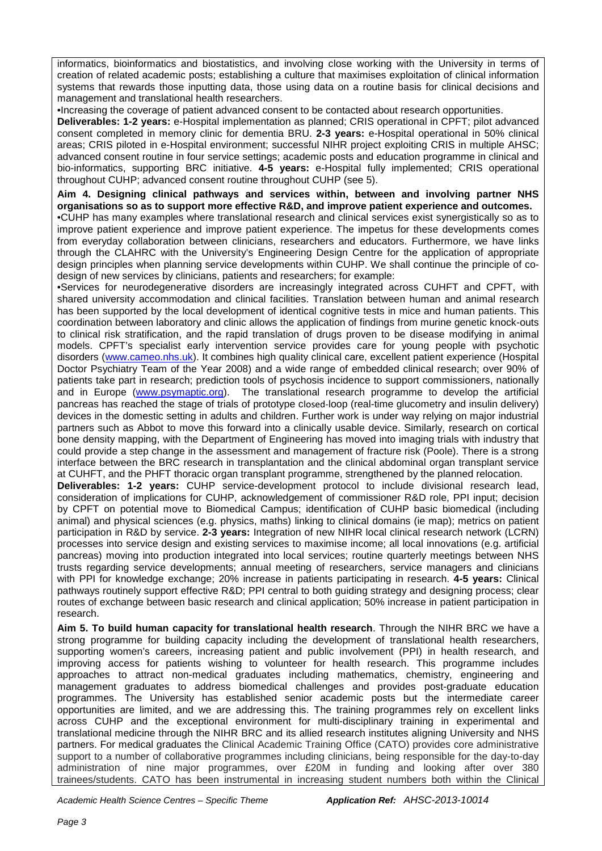informatics, bioinformatics and biostatistics, and involving close working with the University in terms of creation of related academic posts; establishing a culture that maximises exploitation of clinical information systems that rewards those inputting data, those using data on a routine basis for clinical decisions and management and translational health researchers.

•Increasing the coverage of patient advanced consent to be contacted about research opportunities.

**Deliverables: 1-2 years:** e-Hospital implementation as planned; CRIS operational in CPFT; pilot advanced consent completed in memory clinic for dementia BRU. **2-3 years:** e-Hospital operational in 50% clinical areas; CRIS piloted in e-Hospital environment; successful NIHR project exploiting CRIS in multiple AHSC; advanced consent routine in four service settings; academic posts and education programme in clinical and bio-informatics, supporting BRC initiative. **4-5 years:** e-Hospital fully implemented; CRIS operational throughout CUHP; advanced consent routine throughout CUHP (see 5).

#### **Aim 4. Designing clinical pathways and services within, between and involving partner NHS organisations so as to support more effective R&D, and improve patient experience and outcomes.**

•CUHP has many examples where translational research and clinical services exist synergistically so as to improve patient experience and improve patient experience. The impetus for these developments comes from everyday collaboration between clinicians, researchers and educators. Furthermore, we have links through the CLAHRC with the University's Engineering Design Centre for the application of appropriate design principles when planning service developments within CUHP. We shall continue the principle of codesign of new services by clinicians, patients and researchers; for example:

•Services for neurodegenerative disorders are increasingly integrated across CUHFT and CPFT, with shared university accommodation and clinical facilities. Translation between human and animal research has been supported by the local development of identical cognitive tests in mice and human patients. This coordination between laboratory and clinic allows the application of findings from murine genetic knock-outs to clinical risk stratification, and the rapid translation of drugs proven to be disease modifying in animal models. CPFT's specialist early intervention service provides care for young people with psychotic disorders [\(www.cameo.nhs.uk\)](http://www.cameo.nhs.uk/). It combines high quality clinical care, excellent patient experience (Hospital Doctor Psychiatry Team of the Year 2008) and a wide range of embedded clinical research; over 90% of patients take part in research; prediction tools of psychosis incidence to support commissioners, nationally and in Europe [\(www.psymaptic.org\)](http://www.psymaptic.org/). The translational research programme to develop the artificial pancreas has reached the stage of trials of prototype closed-loop (real-time glucometry and insulin delivery) devices in the domestic setting in adults and children. Further work is under way relying on major industrial partners such as Abbot to move this forward into a clinically usable device. Similarly, research on cortical bone density mapping, with the Department of Engineering has moved into imaging trials with industry that could provide a step change in the assessment and management of fracture risk (Poole). There is a strong interface between the BRC research in transplantation and the clinical abdominal organ transplant service at CUHFT, and the PHFT thoracic organ transplant programme, strengthened by the planned relocation.

**Deliverables: 1-2 years:** CUHP service-development protocol to include divisional research lead, consideration of implications for CUHP, acknowledgement of commissioner R&D role, PPI input; decision by CPFT on potential move to Biomedical Campus; identification of CUHP basic biomedical (including animal) and physical sciences (e.g. physics, maths) linking to clinical domains (ie map); metrics on patient participation in R&D by service. **2-3 years:** Integration of new NIHR local clinical research network (LCRN) processes into service design and existing services to maximise income; all local innovations (e.g. artificial pancreas) moving into production integrated into local services; routine quarterly meetings between NHS trusts regarding service developments; annual meeting of researchers, service managers and clinicians with PPI for knowledge exchange; 20% increase in patients participating in research. **4-5 years:** Clinical pathways routinely support effective R&D; PPI central to both guiding strategy and designing process; clear routes of exchange between basic research and clinical application; 50% increase in patient participation in research.

**Aim 5. To build human capacity for translational health research**. Through the NIHR BRC we have a strong programme for building capacity including the development of translational health researchers, supporting women's careers, increasing patient and public involvement (PPI) in health research, and improving access for patients wishing to volunteer for health research. This programme includes approaches to attract non-medical graduates including mathematics, chemistry, engineering and management graduates to address biomedical challenges and provides post-graduate education programmes. The University has established senior academic posts but the intermediate career opportunities are limited, and we are addressing this. The training programmes rely on excellent links across CUHP and the exceptional environment for multi-disciplinary training in experimental and translational medicine through the NIHR BRC and its allied research institutes aligning University and NHS partners. For medical graduates the Clinical Academic Training Office (CATO) provides core administrative support to a number of collaborative programmes including clinicians, being responsible for the day-to-day administration of nine major programmes, over £20M in funding and looking after over 380 trainees/students. CATO has been instrumental in increasing student numbers both within the Clinical